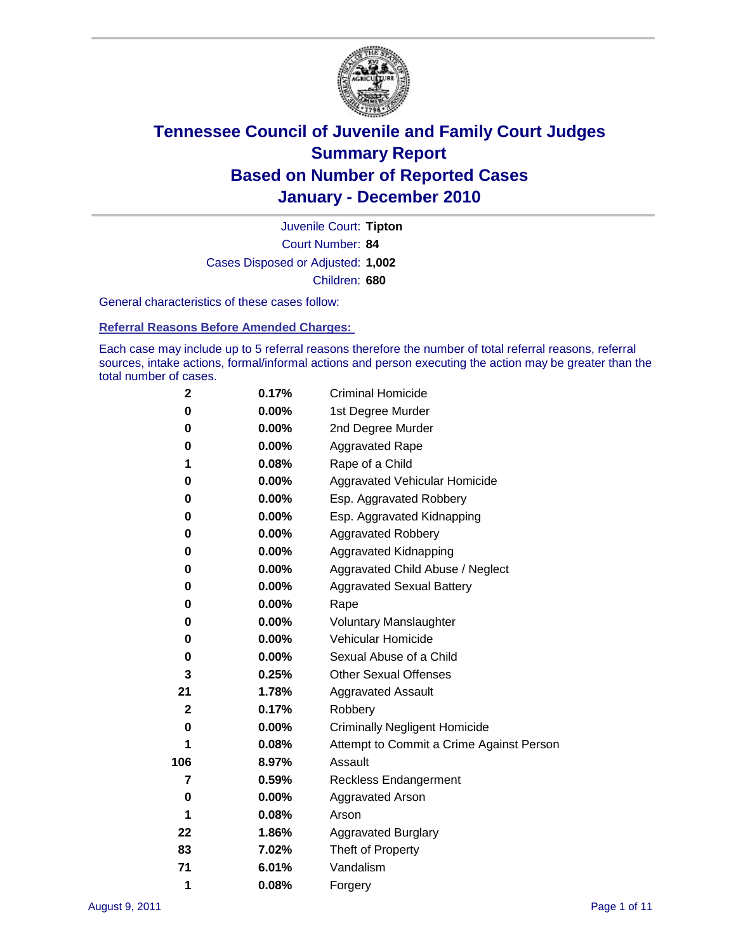

Court Number: **84** Juvenile Court: **Tipton** Cases Disposed or Adjusted: **1,002** Children: **680**

General characteristics of these cases follow:

**Referral Reasons Before Amended Charges:** 

Each case may include up to 5 referral reasons therefore the number of total referral reasons, referral sources, intake actions, formal/informal actions and person executing the action may be greater than the total number of cases.

| 2   | 0.17%    | <b>Criminal Homicide</b>                 |  |  |  |
|-----|----------|------------------------------------------|--|--|--|
| 0   | 0.00%    | 1st Degree Murder                        |  |  |  |
| 0   | $0.00\%$ | 2nd Degree Murder                        |  |  |  |
| 0   | $0.00\%$ | <b>Aggravated Rape</b>                   |  |  |  |
| 1   | 0.08%    | Rape of a Child                          |  |  |  |
| 0   | 0.00%    | Aggravated Vehicular Homicide            |  |  |  |
| 0   | 0.00%    | Esp. Aggravated Robbery                  |  |  |  |
| 0   | $0.00\%$ | Esp. Aggravated Kidnapping               |  |  |  |
| 0   | $0.00\%$ | <b>Aggravated Robbery</b>                |  |  |  |
| 0   | $0.00\%$ | Aggravated Kidnapping                    |  |  |  |
| 0   | $0.00\%$ | Aggravated Child Abuse / Neglect         |  |  |  |
| 0   | $0.00\%$ | <b>Aggravated Sexual Battery</b>         |  |  |  |
| 0   | 0.00%    | Rape                                     |  |  |  |
| 0   | $0.00\%$ | <b>Voluntary Manslaughter</b>            |  |  |  |
| 0   | 0.00%    | Vehicular Homicide                       |  |  |  |
| 0   | 0.00%    | Sexual Abuse of a Child                  |  |  |  |
| 3   | 0.25%    | <b>Other Sexual Offenses</b>             |  |  |  |
| 21  | 1.78%    | <b>Aggravated Assault</b>                |  |  |  |
| 2   | 0.17%    | Robbery                                  |  |  |  |
| 0   | 0.00%    | <b>Criminally Negligent Homicide</b>     |  |  |  |
| 1   | 0.08%    | Attempt to Commit a Crime Against Person |  |  |  |
| 106 | 8.97%    | Assault                                  |  |  |  |
| 7   | 0.59%    | <b>Reckless Endangerment</b>             |  |  |  |
| 0   | 0.00%    | <b>Aggravated Arson</b>                  |  |  |  |
| 1   | 0.08%    | Arson                                    |  |  |  |
| 22  | 1.86%    | <b>Aggravated Burglary</b>               |  |  |  |
| 83  | 7.02%    | Theft of Property                        |  |  |  |
| 71  | 6.01%    | Vandalism                                |  |  |  |
| 1   | 0.08%    | Forgery                                  |  |  |  |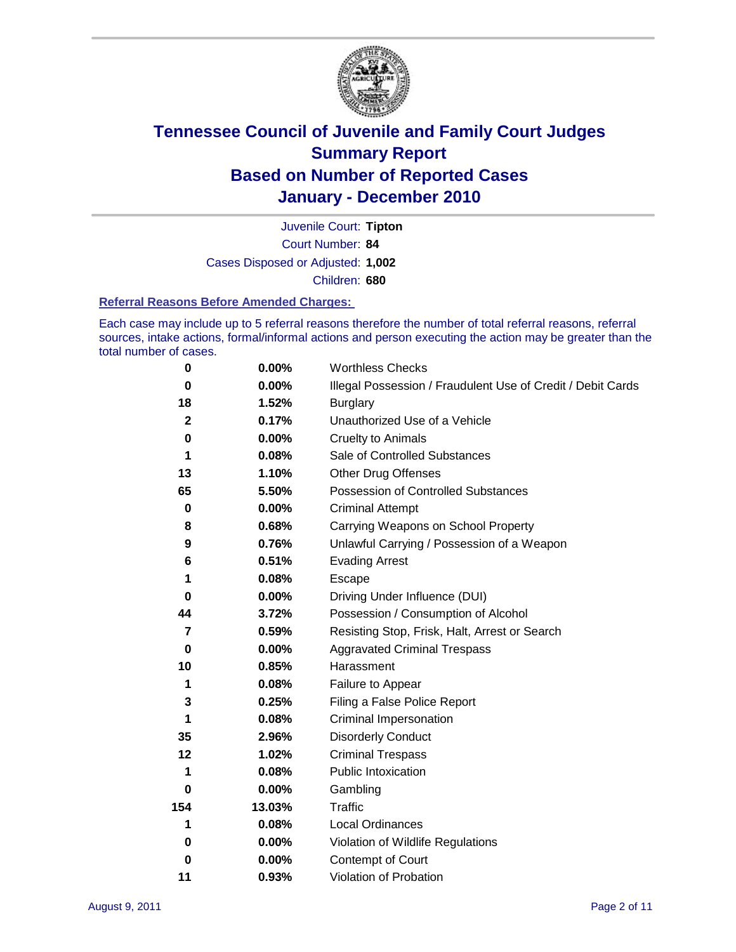

Court Number: **84** Juvenile Court: **Tipton** Cases Disposed or Adjusted: **1,002** Children: **680**

#### **Referral Reasons Before Amended Charges:**

Each case may include up to 5 referral reasons therefore the number of total referral reasons, referral sources, intake actions, formal/informal actions and person executing the action may be greater than the total number of cases.

| $\pmb{0}$    | 0.00%    | <b>Worthless Checks</b>                                     |
|--------------|----------|-------------------------------------------------------------|
| 0            | $0.00\%$ | Illegal Possession / Fraudulent Use of Credit / Debit Cards |
| 18           | 1.52%    | <b>Burglary</b>                                             |
| $\mathbf{2}$ | 0.17%    | Unauthorized Use of a Vehicle                               |
| 0            | $0.00\%$ | <b>Cruelty to Animals</b>                                   |
| 1            | 0.08%    | Sale of Controlled Substances                               |
| 13           | 1.10%    | <b>Other Drug Offenses</b>                                  |
| 65           | 5.50%    | Possession of Controlled Substances                         |
| $\mathbf 0$  | $0.00\%$ | <b>Criminal Attempt</b>                                     |
| 8            | 0.68%    | Carrying Weapons on School Property                         |
| 9            | 0.76%    | Unlawful Carrying / Possession of a Weapon                  |
| 6            | 0.51%    | <b>Evading Arrest</b>                                       |
| 1            | 0.08%    | Escape                                                      |
| 0            | 0.00%    | Driving Under Influence (DUI)                               |
| 44           | 3.72%    | Possession / Consumption of Alcohol                         |
| 7            | 0.59%    | Resisting Stop, Frisk, Halt, Arrest or Search               |
| 0            | $0.00\%$ | <b>Aggravated Criminal Trespass</b>                         |
| 10           | 0.85%    | Harassment                                                  |
| 1            | 0.08%    | Failure to Appear                                           |
| 3            | 0.25%    | Filing a False Police Report                                |
| 1            | 0.08%    | Criminal Impersonation                                      |
| 35           | 2.96%    | <b>Disorderly Conduct</b>                                   |
| 12           | 1.02%    | <b>Criminal Trespass</b>                                    |
| 1            | 0.08%    | <b>Public Intoxication</b>                                  |
| 0            | $0.00\%$ | Gambling                                                    |
| 154          | 13.03%   | <b>Traffic</b>                                              |
| 1            | 0.08%    | Local Ordinances                                            |
| 0            | $0.00\%$ | Violation of Wildlife Regulations                           |
| 0            | $0.00\%$ | Contempt of Court                                           |
| 11           | 0.93%    | Violation of Probation                                      |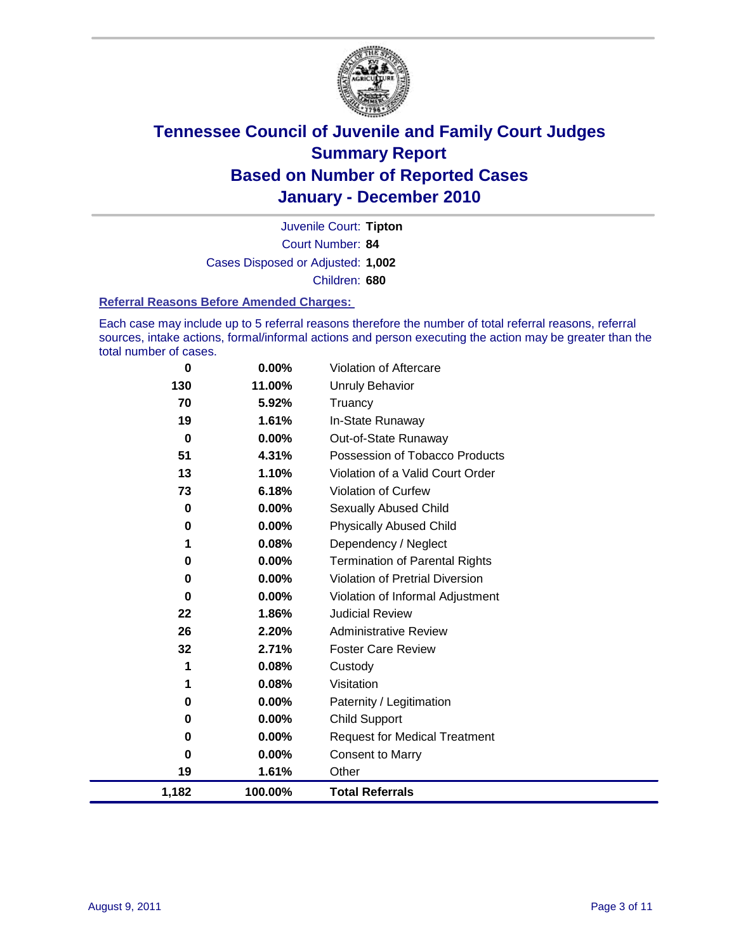

Court Number: **84** Juvenile Court: **Tipton** Cases Disposed or Adjusted: **1,002** Children: **680**

#### **Referral Reasons Before Amended Charges:**

Each case may include up to 5 referral reasons therefore the number of total referral reasons, referral sources, intake actions, formal/informal actions and person executing the action may be greater than the total number of cases.

| $\mathbf 0$ | $0.00\%$ | Violation of Aftercare                 |
|-------------|----------|----------------------------------------|
| 130         | 11.00%   | <b>Unruly Behavior</b>                 |
| 70          | 5.92%    | Truancy                                |
| 19          | 1.61%    | In-State Runaway                       |
| $\bf{0}$    | 0.00%    | Out-of-State Runaway                   |
| 51          | 4.31%    | Possession of Tobacco Products         |
| 13          | 1.10%    | Violation of a Valid Court Order       |
| 73          | 6.18%    | Violation of Curfew                    |
| 0           | $0.00\%$ | <b>Sexually Abused Child</b>           |
| 0           | $0.00\%$ | <b>Physically Abused Child</b>         |
| 1           | 0.08%    | Dependency / Neglect                   |
| 0           | 0.00%    | <b>Termination of Parental Rights</b>  |
| 0           | $0.00\%$ | <b>Violation of Pretrial Diversion</b> |
| 0           | 0.00%    | Violation of Informal Adjustment       |
| 22          | 1.86%    | <b>Judicial Review</b>                 |
| 26          | 2.20%    | <b>Administrative Review</b>           |
| 32          | 2.71%    | <b>Foster Care Review</b>              |
| 1           | 0.08%    | Custody                                |
| 1           | 0.08%    | Visitation                             |
| 0           | 0.00%    | Paternity / Legitimation               |
| 0           | $0.00\%$ | <b>Child Support</b>                   |
| 0           | $0.00\%$ | <b>Request for Medical Treatment</b>   |
| 0           | $0.00\%$ | <b>Consent to Marry</b>                |
| 19          | 1.61%    | Other                                  |
| 1,182       | 100.00%  | <b>Total Referrals</b>                 |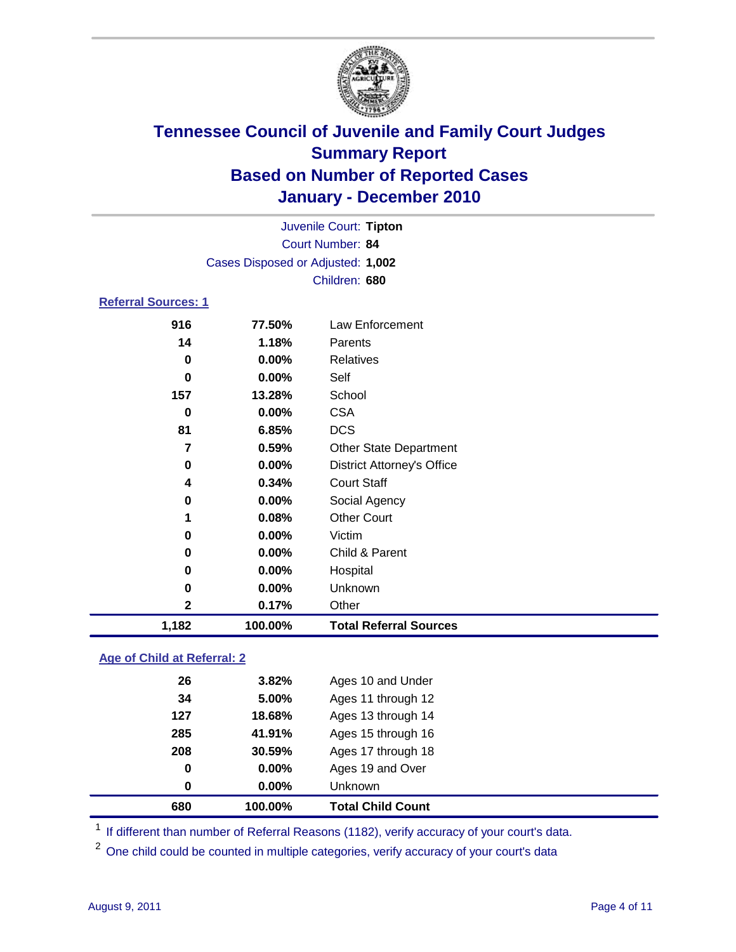

| Juvenile Court: Tipton     |                                   |                                   |  |
|----------------------------|-----------------------------------|-----------------------------------|--|
| Court Number: 84           |                                   |                                   |  |
|                            | Cases Disposed or Adjusted: 1,002 |                                   |  |
|                            |                                   | Children: 680                     |  |
| <b>Referral Sources: 1</b> |                                   |                                   |  |
| 916                        | 77.50%                            | Law Enforcement                   |  |
| 14                         | 1.18%                             | Parents                           |  |
| $\bf{0}$                   | 0.00%                             | Relatives                         |  |
| $\bf{0}$                   | $0.00\%$                          | Self                              |  |
| 157                        | 13.28%                            | School                            |  |
| 0                          | 0.00%                             | <b>CSA</b>                        |  |
| 81                         | 6.85%                             | <b>DCS</b>                        |  |
| 7                          | 0.59%                             | <b>Other State Department</b>     |  |
| 0                          | $0.00\%$                          | <b>District Attorney's Office</b> |  |
| 4                          | 0.34%                             | <b>Court Staff</b>                |  |
| 0                          | $0.00\%$                          | Social Agency                     |  |
| 1                          | 0.08%                             | <b>Other Court</b>                |  |
| 0                          | $0.00\%$                          | Victim                            |  |
| 0                          | $0.00\%$                          | Child & Parent                    |  |
| 0                          | $0.00\%$                          | Hospital                          |  |
| 0                          | 0.00%                             | Unknown                           |  |
| $\mathbf 2$                | 0.17%                             | Other                             |  |
| 1,182                      | 100.00%                           | <b>Total Referral Sources</b>     |  |
|                            |                                   |                                   |  |

### **Age of Child at Referral: 2**

| 0   | 0.00%  | Unknown            |
|-----|--------|--------------------|
| 0   | 0.00%  | Ages 19 and Over   |
| 208 | 30.59% | Ages 17 through 18 |
| 285 | 41.91% | Ages 15 through 16 |
| 127 | 18.68% | Ages 13 through 14 |
| 34  | 5.00%  | Ages 11 through 12 |
| 26  | 3.82%  | Ages 10 and Under  |
|     |        |                    |

<sup>1</sup> If different than number of Referral Reasons (1182), verify accuracy of your court's data.

<sup>2</sup> One child could be counted in multiple categories, verify accuracy of your court's data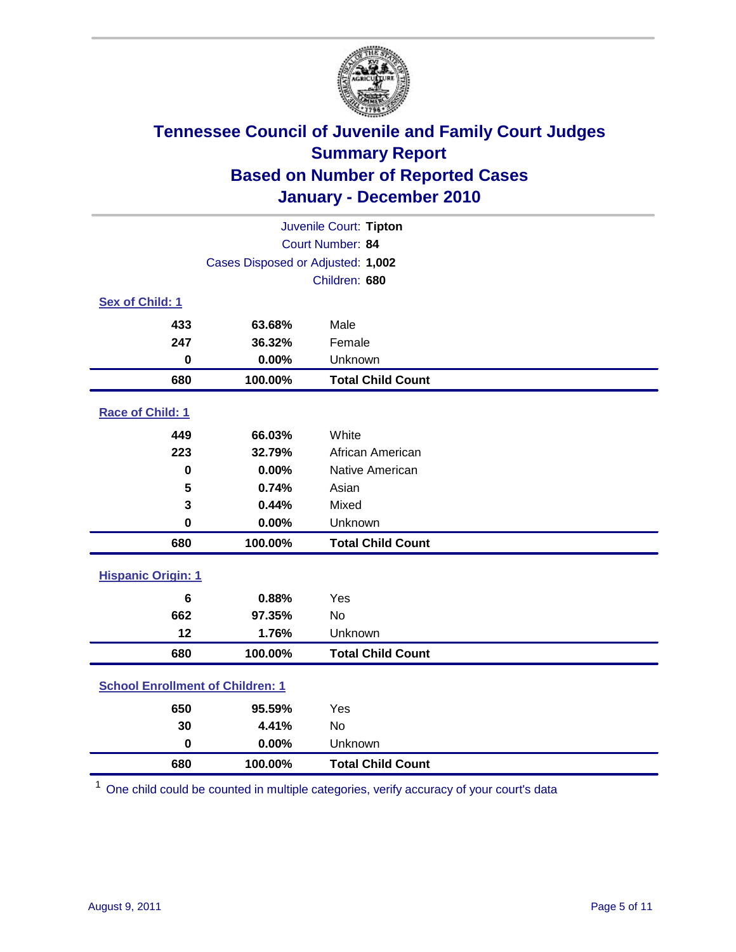

| Juvenile Court: Tipton                  |         |                          |  |
|-----------------------------------------|---------|--------------------------|--|
| Court Number: 84                        |         |                          |  |
| Cases Disposed or Adjusted: 1,002       |         |                          |  |
|                                         |         | Children: 680            |  |
| Sex of Child: 1                         |         |                          |  |
| 433                                     | 63.68%  | Male                     |  |
| 247                                     | 36.32%  | Female                   |  |
| $\mathbf 0$                             | 0.00%   | Unknown                  |  |
| 680                                     | 100.00% | <b>Total Child Count</b> |  |
| Race of Child: 1                        |         |                          |  |
| 449                                     | 66.03%  | White                    |  |
| 223                                     | 32.79%  | African American         |  |
| $\mathbf 0$                             | 0.00%   | Native American          |  |
| 5                                       | 0.74%   | Asian                    |  |
| 3                                       | 0.44%   | Mixed                    |  |
| $\mathbf 0$                             | 0.00%   | Unknown                  |  |
| 680                                     | 100.00% | <b>Total Child Count</b> |  |
| <b>Hispanic Origin: 1</b>               |         |                          |  |
| 6                                       | 0.88%   | Yes                      |  |
| 662                                     | 97.35%  | No                       |  |
| 12                                      | 1.76%   | Unknown                  |  |
| 680                                     | 100.00% | <b>Total Child Count</b> |  |
| <b>School Enrollment of Children: 1</b> |         |                          |  |
| 650                                     | 95.59%  | Yes                      |  |
| 30                                      | 4.41%   | <b>No</b>                |  |
| $\mathbf 0$                             | 0.00%   | Unknown                  |  |
| 680                                     | 100.00% | <b>Total Child Count</b> |  |

One child could be counted in multiple categories, verify accuracy of your court's data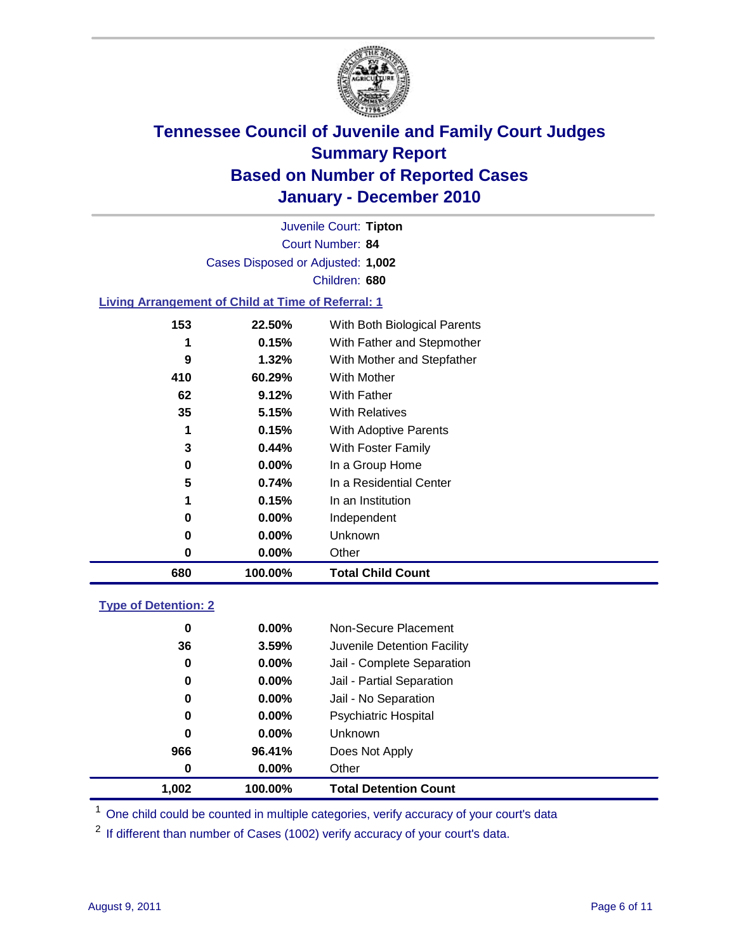

Court Number: **84** Juvenile Court: **Tipton** Cases Disposed or Adjusted: **1,002** Children: **680**

### **Living Arrangement of Child at Time of Referral: 1**

| 680 | 100.00%  | <b>Total Child Count</b>     |
|-----|----------|------------------------------|
| 0   | $0.00\%$ | Other                        |
| 0   | $0.00\%$ | Unknown                      |
| 0   | $0.00\%$ | Independent                  |
| 1   | 0.15%    | In an Institution            |
| 5   | 0.74%    | In a Residential Center      |
| 0   | 0.00%    | In a Group Home              |
| 3   | 0.44%    | With Foster Family           |
| 1   | 0.15%    | With Adoptive Parents        |
| 35  | 5.15%    | <b>With Relatives</b>        |
| 62  | 9.12%    | <b>With Father</b>           |
| 410 | 60.29%   | With Mother                  |
| 9   | 1.32%    | With Mother and Stepfather   |
|     | 0.15%    | With Father and Stepmother   |
| 153 | 22.50%   | With Both Biological Parents |
|     |          |                              |

### **Type of Detention: 2**

| 1,002 | 100.00%  | <b>Total Detention Count</b> |  |
|-------|----------|------------------------------|--|
| 0     | 0.00%    | Other                        |  |
| 966   | 96.41%   | Does Not Apply               |  |
| 0     | $0.00\%$ | <b>Unknown</b>               |  |
| 0     | $0.00\%$ | Psychiatric Hospital         |  |
| 0     | 0.00%    | Jail - No Separation         |  |
| 0     | $0.00\%$ | Jail - Partial Separation    |  |
| 0     | 0.00%    | Jail - Complete Separation   |  |
| 36    | 3.59%    | Juvenile Detention Facility  |  |
| 0     | $0.00\%$ | Non-Secure Placement         |  |
|       |          |                              |  |

<sup>1</sup> One child could be counted in multiple categories, verify accuracy of your court's data

<sup>2</sup> If different than number of Cases (1002) verify accuracy of your court's data.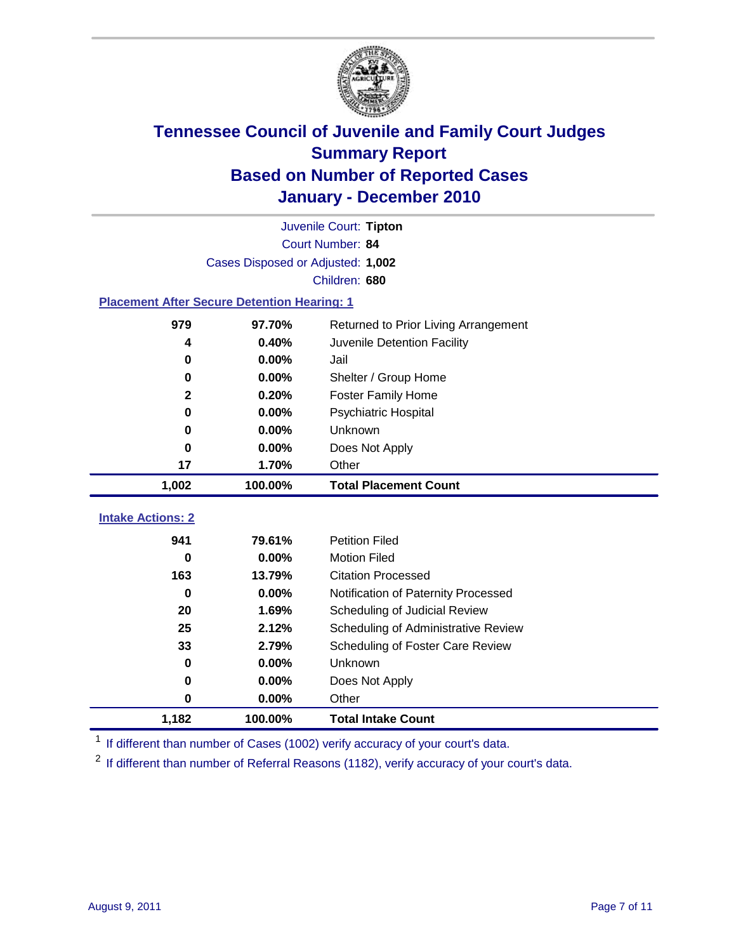

|                                                    | Juvenile Court: Tipton            |                                      |  |  |  |
|----------------------------------------------------|-----------------------------------|--------------------------------------|--|--|--|
|                                                    | Court Number: 84                  |                                      |  |  |  |
|                                                    | Cases Disposed or Adjusted: 1,002 |                                      |  |  |  |
|                                                    |                                   | Children: 680                        |  |  |  |
| <b>Placement After Secure Detention Hearing: 1</b> |                                   |                                      |  |  |  |
| 979                                                | 97.70%                            | Returned to Prior Living Arrangement |  |  |  |
| 4                                                  | 0.40%                             | Juvenile Detention Facility          |  |  |  |
| 0                                                  | 0.00%                             | Jail                                 |  |  |  |
| 0                                                  | 0.00%                             | Shelter / Group Home                 |  |  |  |
| $\mathbf 2$                                        | 0.20%                             | <b>Foster Family Home</b>            |  |  |  |
| 0                                                  | 0.00%                             | Psychiatric Hospital                 |  |  |  |
| 0                                                  | 0.00%                             | Unknown                              |  |  |  |
| 0                                                  | 0.00%                             | Does Not Apply                       |  |  |  |
| 17                                                 | 1.70%                             | Other                                |  |  |  |
| 1,002                                              | 100.00%                           | <b>Total Placement Count</b>         |  |  |  |
|                                                    |                                   |                                      |  |  |  |
| <b>Intake Actions: 2</b>                           |                                   |                                      |  |  |  |
| 941                                                | 79.61%                            | <b>Petition Filed</b>                |  |  |  |
| 0                                                  | 0.00%                             | <b>Motion Filed</b>                  |  |  |  |
| 163                                                | 13.79%                            | <b>Citation Processed</b>            |  |  |  |
| $\bf{0}$                                           | 0.00%                             | Notification of Paternity Processed  |  |  |  |
| 20                                                 | 1.69%                             | Scheduling of Judicial Review        |  |  |  |
| 25                                                 | 2.12%                             | Scheduling of Administrative Review  |  |  |  |
| 33                                                 | 2.79%                             | Scheduling of Foster Care Review     |  |  |  |
| $\bf{0}$                                           | 0.00%                             | Unknown                              |  |  |  |
| 0                                                  | 0.00%                             | Does Not Apply                       |  |  |  |
| 0                                                  | 0.00%                             | Other                                |  |  |  |
| 1,182                                              | 100.00%                           | <b>Total Intake Count</b>            |  |  |  |

<sup>1</sup> If different than number of Cases (1002) verify accuracy of your court's data.

<sup>2</sup> If different than number of Referral Reasons (1182), verify accuracy of your court's data.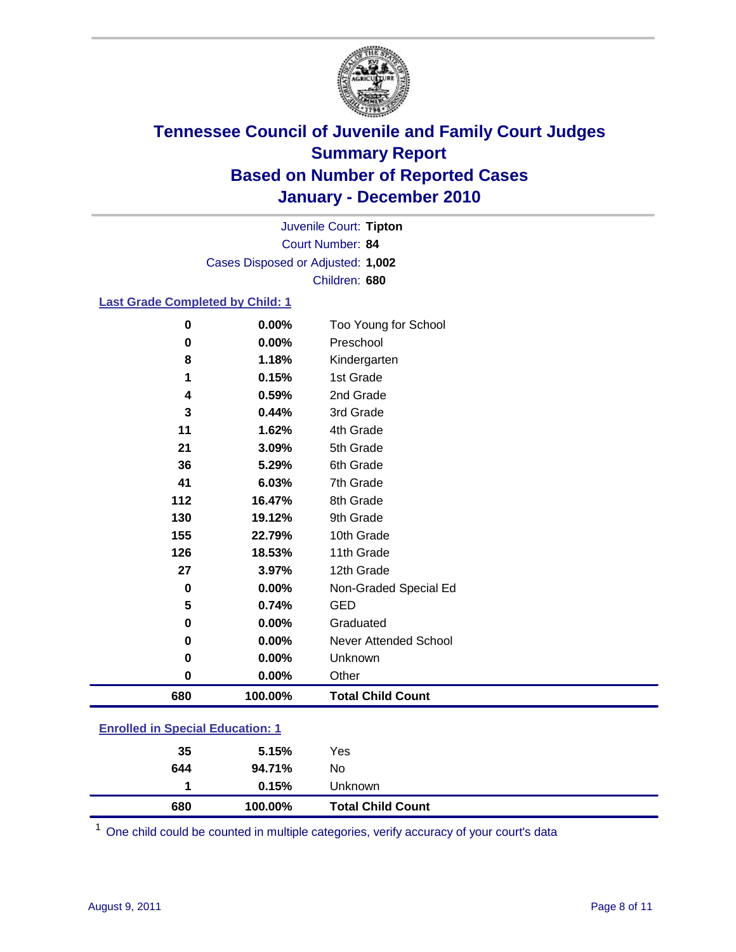

Court Number: **84** Juvenile Court: **Tipton** Cases Disposed or Adjusted: **1,002** Children: **680**

### **Last Grade Completed by Child: 1**

| $\bf{0}$                                | 0.00%   | Too Young for School         |  |
|-----------------------------------------|---------|------------------------------|--|
| $\mathbf 0$                             | 0.00%   | Preschool                    |  |
| 8                                       | 1.18%   | Kindergarten                 |  |
| 1                                       | 0.15%   | 1st Grade                    |  |
| 4                                       | 0.59%   | 2nd Grade                    |  |
| 3                                       | 0.44%   | 3rd Grade                    |  |
| 11                                      | 1.62%   | 4th Grade                    |  |
| 21                                      | 3.09%   | 5th Grade                    |  |
| 36                                      | 5.29%   | 6th Grade                    |  |
| 41                                      | 6.03%   | 7th Grade                    |  |
| 112                                     | 16.47%  | 8th Grade                    |  |
| 130                                     | 19.12%  | 9th Grade                    |  |
| 155                                     | 22.79%  | 10th Grade                   |  |
| 126                                     | 18.53%  | 11th Grade                   |  |
| 27                                      | 3.97%   | 12th Grade                   |  |
| 0                                       | 0.00%   | Non-Graded Special Ed        |  |
| 5                                       | 0.74%   | <b>GED</b>                   |  |
| $\mathbf 0$                             | 0.00%   | Graduated                    |  |
| 0                                       | 0.00%   | <b>Never Attended School</b> |  |
| $\bf{0}$                                | 0.00%   | Unknown                      |  |
| $\mathbf 0$                             | 0.00%   | Other                        |  |
| 680                                     | 100.00% | <b>Total Child Count</b>     |  |
| <b>Enrolled in Special Education: 1</b> |         |                              |  |

| 680 | 100.00% | <b>Total Child Count</b> |  |
|-----|---------|--------------------------|--|
|     | 0.15%   | Unknown                  |  |
| 644 | 94.71%  | No.                      |  |
| 35  | 5.15%   | Yes                      |  |
|     |         |                          |  |

One child could be counted in multiple categories, verify accuracy of your court's data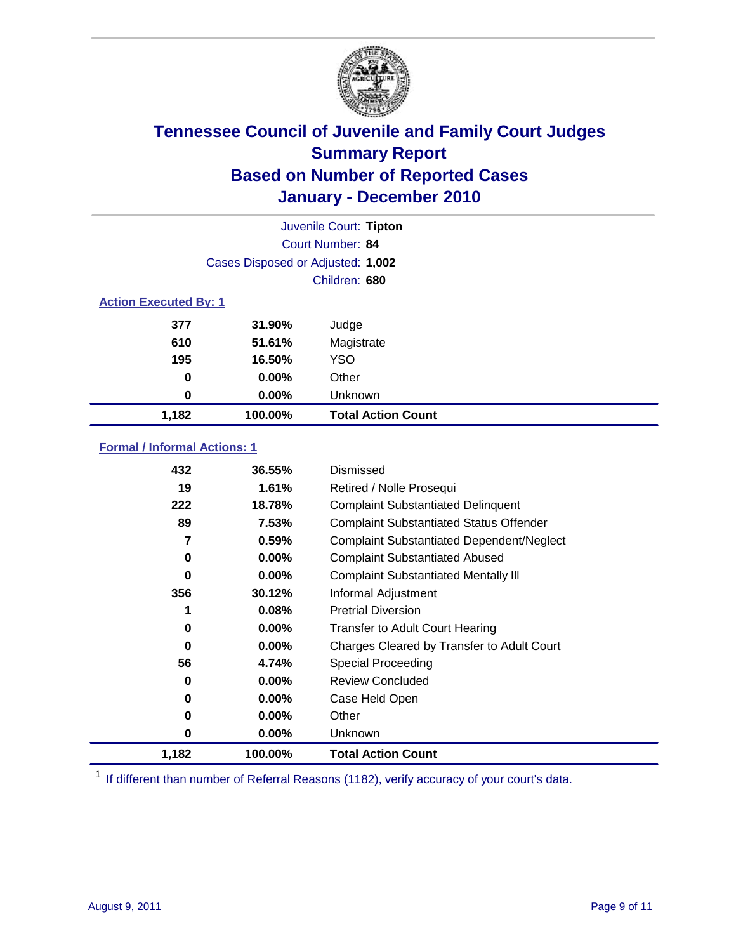

|                              |                                   | Juvenile Court: Tipton    |  |
|------------------------------|-----------------------------------|---------------------------|--|
|                              |                                   | Court Number: 84          |  |
|                              | Cases Disposed or Adjusted: 1,002 |                           |  |
|                              |                                   | Children: 680             |  |
| <b>Action Executed By: 1</b> |                                   |                           |  |
| 377                          | 31.90%                            | Judge                     |  |
| 610                          | 51.61%                            | Magistrate                |  |
| 195                          | 16.50%                            | <b>YSO</b>                |  |
| 0                            | $0.00\%$                          | Other                     |  |
| 0                            | 0.00%                             | Unknown                   |  |
| 1,182                        | 100.00%                           | <b>Total Action Count</b> |  |

### **Formal / Informal Actions: 1**

| 432   | 36.55%   | Dismissed                                        |
|-------|----------|--------------------------------------------------|
| 19    | 1.61%    | Retired / Nolle Prosequi                         |
| 222   | 18.78%   | <b>Complaint Substantiated Delinquent</b>        |
| 89    | 7.53%    | <b>Complaint Substantiated Status Offender</b>   |
| 7     | 0.59%    | <b>Complaint Substantiated Dependent/Neglect</b> |
| 0     | $0.00\%$ | <b>Complaint Substantiated Abused</b>            |
| 0     | $0.00\%$ | <b>Complaint Substantiated Mentally III</b>      |
| 356   | 30.12%   | Informal Adjustment                              |
| 1     | 0.08%    | <b>Pretrial Diversion</b>                        |
| 0     | $0.00\%$ | <b>Transfer to Adult Court Hearing</b>           |
| 0     | $0.00\%$ | Charges Cleared by Transfer to Adult Court       |
| 56    | 4.74%    | Special Proceeding                               |
| 0     | $0.00\%$ | <b>Review Concluded</b>                          |
| 0     | $0.00\%$ | Case Held Open                                   |
| 0     | $0.00\%$ | Other                                            |
| 0     | $0.00\%$ | <b>Unknown</b>                                   |
| 1,182 | 100.00%  | <b>Total Action Count</b>                        |

<sup>1</sup> If different than number of Referral Reasons (1182), verify accuracy of your court's data.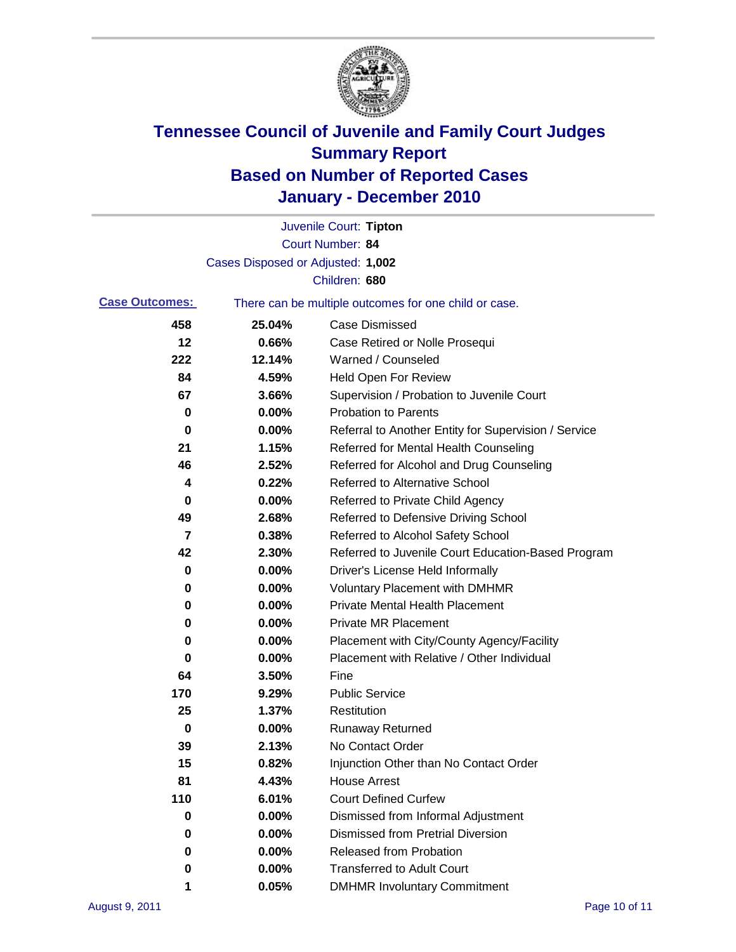

|                       |                                   | Juvenile Court: Tipton                                |
|-----------------------|-----------------------------------|-------------------------------------------------------|
|                       |                                   | <b>Court Number: 84</b>                               |
|                       | Cases Disposed or Adjusted: 1,002 |                                                       |
|                       |                                   | Children: 680                                         |
| <b>Case Outcomes:</b> |                                   | There can be multiple outcomes for one child or case. |
| 458                   | 25.04%                            | <b>Case Dismissed</b>                                 |
| 12                    | 0.66%                             | Case Retired or Nolle Prosequi                        |
| 222                   | 12.14%                            | Warned / Counseled                                    |
| 84                    | 4.59%                             | <b>Held Open For Review</b>                           |
| 67                    | 3.66%                             | Supervision / Probation to Juvenile Court             |
| 0                     | 0.00%                             | <b>Probation to Parents</b>                           |
| 0                     | 0.00%                             | Referral to Another Entity for Supervision / Service  |
| 21                    | 1.15%                             | Referred for Mental Health Counseling                 |
| 46                    | 2.52%                             | Referred for Alcohol and Drug Counseling              |
| 4                     | 0.22%                             | <b>Referred to Alternative School</b>                 |
| 0                     | 0.00%                             | Referred to Private Child Agency                      |
| 49                    | 2.68%                             | Referred to Defensive Driving School                  |
| 7                     | 0.38%                             | Referred to Alcohol Safety School                     |
| 42                    | 2.30%                             | Referred to Juvenile Court Education-Based Program    |
| 0                     | 0.00%                             | Driver's License Held Informally                      |
| 0                     | 0.00%                             | <b>Voluntary Placement with DMHMR</b>                 |
| 0                     | 0.00%                             | <b>Private Mental Health Placement</b>                |
| 0                     | 0.00%                             | <b>Private MR Placement</b>                           |
| 0                     | 0.00%                             | Placement with City/County Agency/Facility            |
| 0                     | 0.00%                             | Placement with Relative / Other Individual            |
| 64                    | 3.50%                             | Fine                                                  |
| 170                   | 9.29%                             | <b>Public Service</b>                                 |
| 25                    | 1.37%                             | Restitution                                           |
| 0                     | 0.00%                             | <b>Runaway Returned</b>                               |
| 39                    | 2.13%                             | No Contact Order                                      |
| 15                    | 0.82%                             | Injunction Other than No Contact Order                |
| 81                    | 4.43%                             | <b>House Arrest</b>                                   |
| 110                   | 6.01%                             | <b>Court Defined Curfew</b>                           |
| 0                     | 0.00%                             | Dismissed from Informal Adjustment                    |
| 0                     | 0.00%                             | <b>Dismissed from Pretrial Diversion</b>              |
| 0                     | 0.00%                             | <b>Released from Probation</b>                        |
| 0                     | 0.00%                             | <b>Transferred to Adult Court</b>                     |
|                       | 0.05%                             | <b>DMHMR Involuntary Commitment</b>                   |